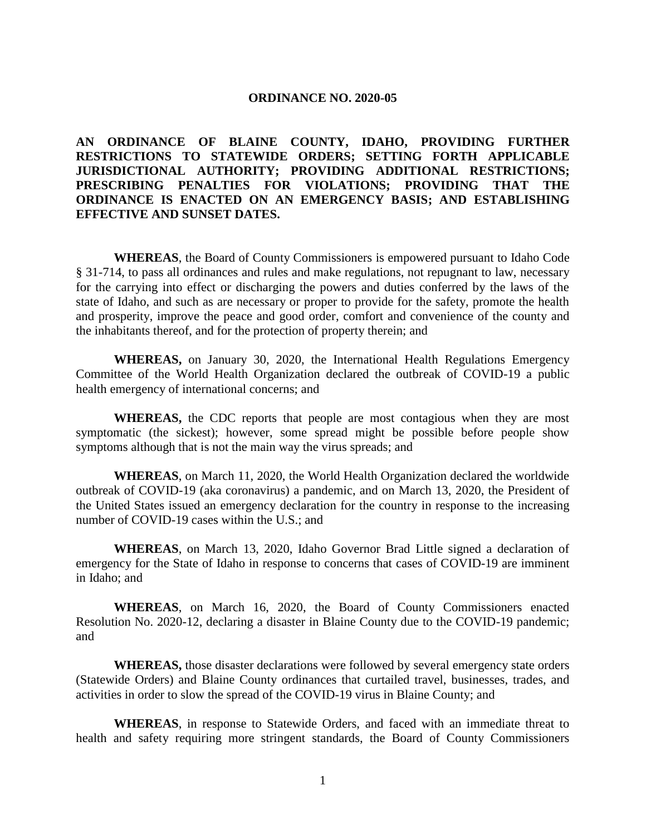#### **ORDINANCE NO. 2020-05**

**AN ORDINANCE OF BLAINE COUNTY, IDAHO, PROVIDING FURTHER RESTRICTIONS TO STATEWIDE ORDERS; SETTING FORTH APPLICABLE JURISDICTIONAL AUTHORITY; PROVIDING ADDITIONAL RESTRICTIONS; PRESCRIBING PENALTIES FOR VIOLATIONS; PROVIDING THAT THE ORDINANCE IS ENACTED ON AN EMERGENCY BASIS; AND ESTABLISHING EFFECTIVE AND SUNSET DATES.** 

**WHEREAS**, the Board of County Commissioners is empowered pursuant to Idaho Code § 31-714, to pass all ordinances and rules and make regulations, not repugnant to law, necessary for the carrying into effect or discharging the powers and duties conferred by the laws of the state of Idaho, and such as are necessary or proper to provide for the safety, promote the health and prosperity, improve the peace and good order, comfort and convenience of the county and the inhabitants thereof, and for the protection of property therein; and

**WHEREAS,** on January 30, 2020, the International Health Regulations Emergency Committee of the World Health Organization declared the outbreak of COVID-19 a public health emergency of international concerns; and

**WHEREAS,** the CDC reports that people are most contagious when they are most symptomatic (the sickest); however, some spread might be possible before people show symptoms although that is not the main way the virus spreads; and

**WHEREAS**, on March 11, 2020, the World Health Organization declared the worldwide outbreak of COVID-19 (aka coronavirus) a pandemic, and on March 13, 2020, the President of the United States issued an emergency declaration for the country in response to the increasing number of COVID-19 cases within the U.S.; and

**WHEREAS**, on March 13, 2020, Idaho Governor Brad Little signed a declaration of emergency for the State of Idaho in response to concerns that cases of COVID-19 are imminent in Idaho; and

**WHEREAS**, on March 16, 2020, the Board of County Commissioners enacted Resolution No. 2020-12, declaring a disaster in Blaine County due to the COVID-19 pandemic; and

**WHEREAS,** those disaster declarations were followed by several emergency state orders (Statewide Orders) and Blaine County ordinances that curtailed travel, businesses, trades, and activities in order to slow the spread of the COVID-19 virus in Blaine County; and

**WHEREAS**, in response to Statewide Orders, and faced with an immediate threat to health and safety requiring more stringent standards, the Board of County Commissioners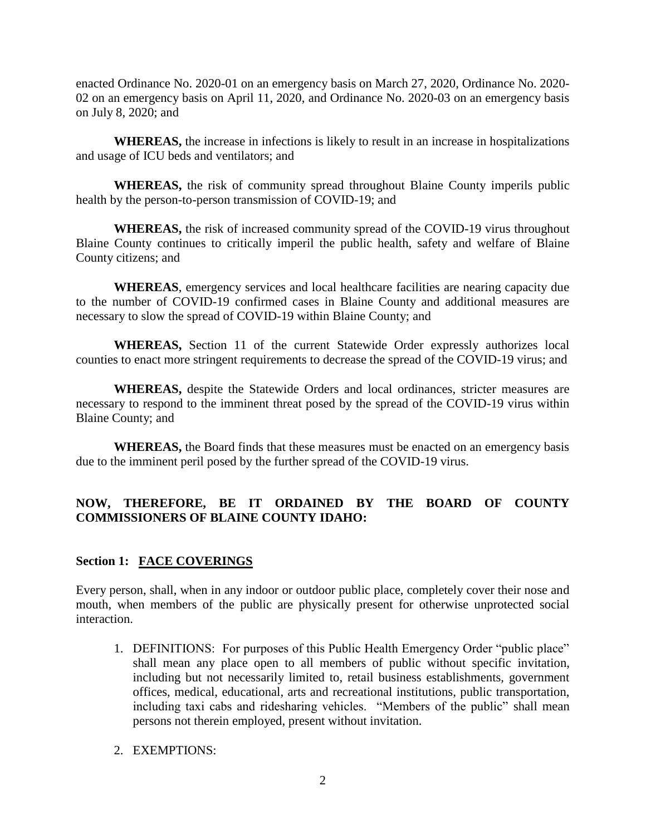enacted Ordinance No. 2020-01 on an emergency basis on March 27, 2020, Ordinance No. 2020- 02 on an emergency basis on April 11, 2020, and Ordinance No. 2020-03 on an emergency basis on July 8, 2020; and

**WHEREAS,** the increase in infections is likely to result in an increase in hospitalizations and usage of ICU beds and ventilators; and

**WHEREAS,** the risk of community spread throughout Blaine County imperils public health by the person-to-person transmission of COVID-19; and

**WHEREAS,** the risk of increased community spread of the COVID-19 virus throughout Blaine County continues to critically imperil the public health, safety and welfare of Blaine County citizens; and

**WHEREAS**, emergency services and local healthcare facilities are nearing capacity due to the number of COVID-19 confirmed cases in Blaine County and additional measures are necessary to slow the spread of COVID-19 within Blaine County; and

**WHEREAS,** Section 11 of the current Statewide Order expressly authorizes local counties to enact more stringent requirements to decrease the spread of the COVID-19 virus; and

**WHEREAS,** despite the Statewide Orders and local ordinances, stricter measures are necessary to respond to the imminent threat posed by the spread of the COVID-19 virus within Blaine County; and

**WHEREAS,** the Board finds that these measures must be enacted on an emergency basis due to the imminent peril posed by the further spread of the COVID-19 virus.

# **NOW, THEREFORE, BE IT ORDAINED BY THE BOARD OF COUNTY COMMISSIONERS OF BLAINE COUNTY IDAHO:**

#### **Section 1: FACE COVERINGS**

Every person, shall, when in any indoor or outdoor public place, completely cover their nose and mouth, when members of the public are physically present for otherwise unprotected social interaction.

1. DEFINITIONS: For purposes of this Public Health Emergency Order "public place" shall mean any place open to all members of public without specific invitation, including but not necessarily limited to, retail business establishments, government offices, medical, educational, arts and recreational institutions, public transportation, including taxi cabs and ridesharing vehicles. "Members of the public" shall mean persons not therein employed, present without invitation.

#### 2. EXEMPTIONS: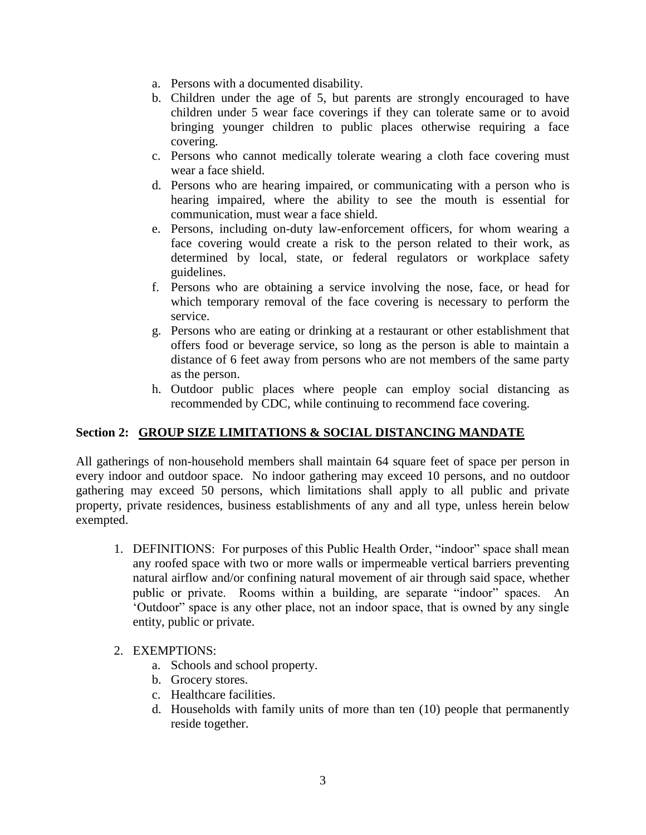- a. Persons with a documented disability.
- b. Children under the age of 5, but parents are strongly encouraged to have children under 5 wear face coverings if they can tolerate same or to avoid bringing younger children to public places otherwise requiring a face covering.
- c. Persons who cannot medically tolerate wearing a cloth face covering must wear a face shield.
- d. Persons who are hearing impaired, or communicating with a person who is hearing impaired, where the ability to see the mouth is essential for communication, must wear a face shield.
- e. Persons, including on-duty law-enforcement officers, for whom wearing a face covering would create a risk to the person related to their work, as determined by local, state, or federal regulators or workplace safety guidelines.
- f. Persons who are obtaining a service involving the nose, face, or head for which temporary removal of the face covering is necessary to perform the service.
- g. Persons who are eating or drinking at a restaurant or other establishment that offers food or beverage service, so long as the person is able to maintain a distance of 6 feet away from persons who are not members of the same party as the person.
- h. Outdoor public places where people can employ social distancing as recommended by CDC, while continuing to recommend face covering.

# **Section 2: GROUP SIZE LIMITATIONS & SOCIAL DISTANCING MANDATE**

All gatherings of non-household members shall maintain 64 square feet of space per person in every indoor and outdoor space. No indoor gathering may exceed 10 persons, and no outdoor gathering may exceed 50 persons, which limitations shall apply to all public and private property, private residences, business establishments of any and all type, unless herein below exempted.

1. DEFINITIONS: For purposes of this Public Health Order, "indoor" space shall mean any roofed space with two or more walls or impermeable vertical barriers preventing natural airflow and/or confining natural movement of air through said space, whether public or private. Rooms within a building, are separate "indoor" spaces. An 'Outdoor" space is any other place, not an indoor space, that is owned by any single entity, public or private.

# 2. EXEMPTIONS:

- a. Schools and school property.
- b. Grocery stores.
- c. Healthcare facilities.
- d. Households with family units of more than ten (10) people that permanently reside together.